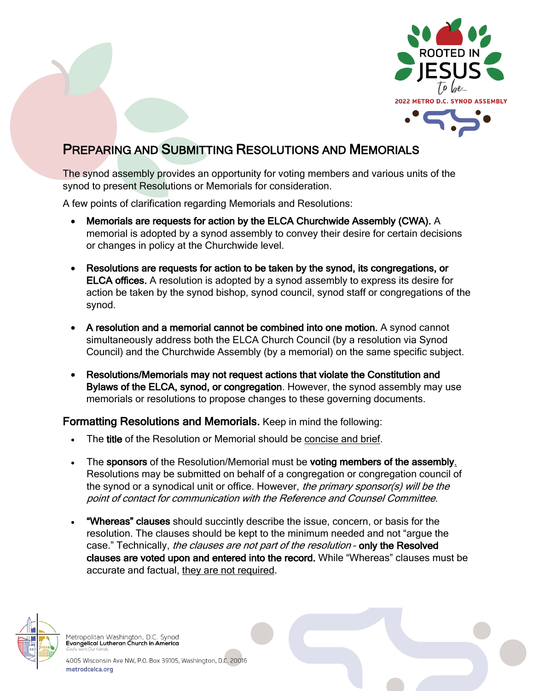

## PREPARING AND SUBMITTING RESOLUTIONS AND MEMORIALS

The synod assembly provides an opportunity for voting members and various units of the synod to present Resolutions or Memorials for consideration.

A few points of clarification regarding Memorials and Resolutions:

- Memorials are requests for action by the ELCA Churchwide Assembly (CWA). A memorial is adopted by a synod assembly to convey their desire for certain decisions or changes in policy at the Churchwide level.
- Resolutions are requests for action to be taken by the synod, its congregations, or ELCA offices. A resolution is adopted by a synod assembly to express its desire for action be taken by the synod bishop, synod council, synod staff or congregations of the synod.
- A resolution and a memorial cannot be combined into one motion. A synod cannot simultaneously address both the ELCA Church Council (by a resolution via Synod Council) and the Churchwide Assembly (by a memorial) on the same specific subject.
- Resolutions/Memorials may not request actions that violate the Constitution and Bylaws of the ELCA, synod, or congregation. However, the synod assembly may use memorials or resolutions to propose changes to these governing documents.

## Formatting Resolutions and Memorials. Keep in mind the following:

- The title of the Resolution or Memorial should be concise and brief.
- The sponsors of the Resolution/Memorial must be voting members of the assembly. Resolutions may be submitted on behalf of a congregation or congregation council of the synod or a synodical unit or office. However, the primary sponsor(s) will be the point of contact for communication with the Reference and Counsel Committee.
- "Whereas" clauses should succintly describe the issue, concern, or basis for the resolution. The clauses should be kept to the minimum needed and not "argue the case." Technically, *the clauses are not part of the resolution* - only the Resolved clauses are voted upon and entered into the record. While "Whereas" clauses must be accurate and factual, they are not required.



Metropolitan Washington, D.C. Synod<br>Evangelical Lutheran Church in America